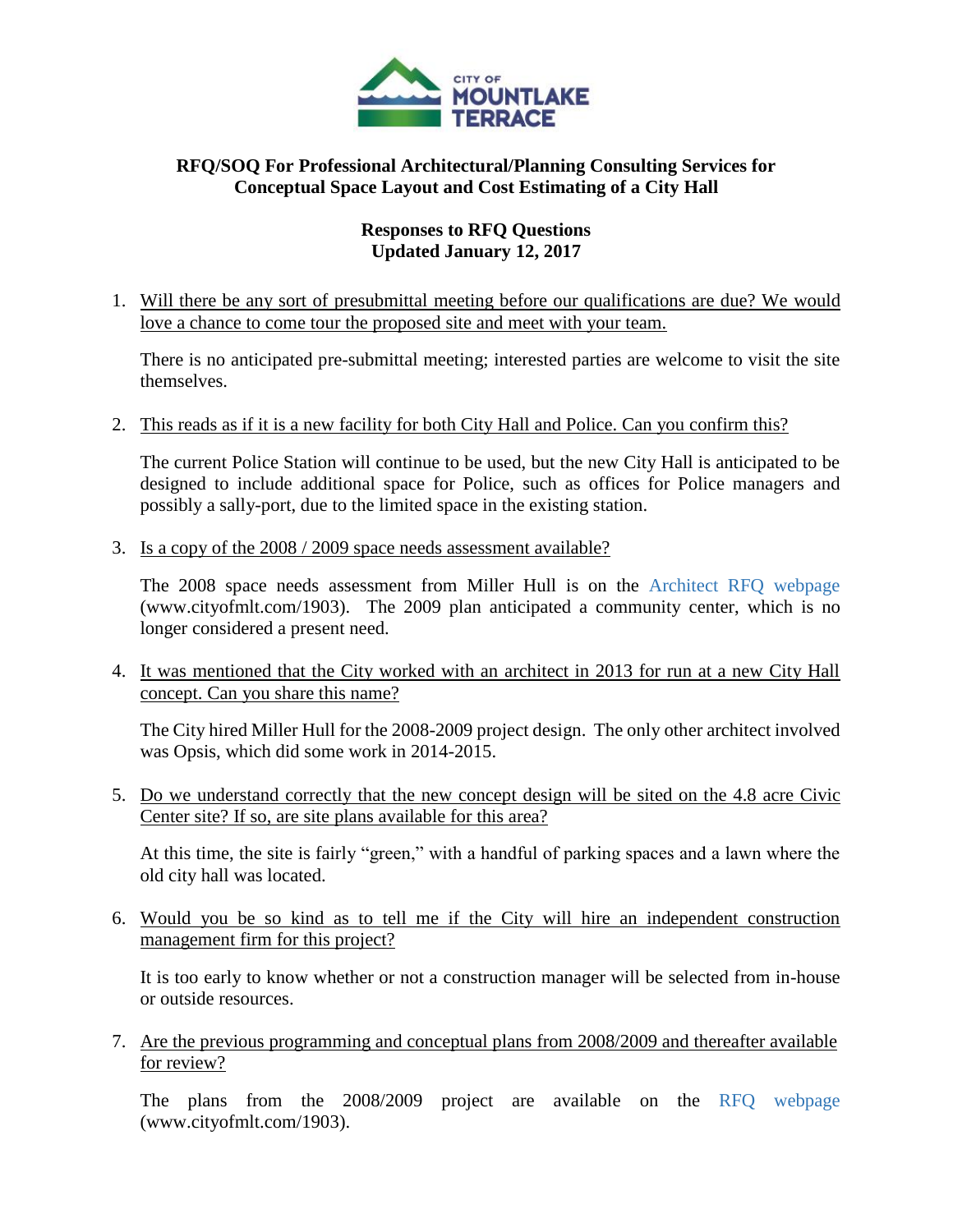

## **RFQ/SOQ For Professional Architectural/Planning Consulting Services for Conceptual Space Layout and Cost Estimating of a City Hall**

## **Responses to RFQ Questions Updated January 12, 2017**

1. Will there be any sort of presubmittal meeting before our qualifications are due? We would love a chance to come tour the proposed site and meet with your team.

There is no anticipated pre-submittal meeting; interested parties are welcome to visit the site themselves.

2. This reads as if it is a new facility for both City Hall and Police. Can you confirm this?

The current Police Station will continue to be used, but the new City Hall is anticipated to be designed to include additional space for Police, such as offices for Police managers and possibly a sally-port, due to the limited space in the existing station.

3. Is a copy of the 2008 / 2009 space needs assessment available?

The 2008 space needs assessment from Miller Hull is on the [Architect RFQ webpage](http://www.cityofmlt.com/1903/RFQ-For-ArchitecturalPlanning-Services) [\(www.cityofmlt.com/1903\)](http://www.cityofmlt.com/1903/RFQ-For-ArchitecturalPlanning-Services). The 2009 plan anticipated a community center, which is no longer considered a present need.

4. It was mentioned that the City worked with an architect in 2013 for run at a new City Hall concept. Can you share this name?

The City hired Miller Hull for the 2008-2009 project design. The only other architect involved was Opsis, which did some work in 2014-2015.

5. Do we understand correctly that the new concept design will be sited on the 4.8 acre Civic Center site? If so, are site plans available for this area?

At this time, the site is fairly "green," with a handful of parking spaces and a lawn where the old city hall was located.

6. Would you be so kind as to tell me if the City will hire an independent construction management firm for this project?

It is too early to know whether or not a construction manager will be selected from in-house or outside resources.

7. Are the previous programming and conceptual plans from 2008/2009 and thereafter available for review?

The plans from the 2008/2009 project are available on the [RFQ webpage](http://www.cityofmlt.com/1903/RFQ-For-ArchitecturalPlanning-Services) [\(www.cityofmlt.com/1903\)](http://www.cityofmlt.com/1903/RFQ-For-ArchitecturalPlanning-Services).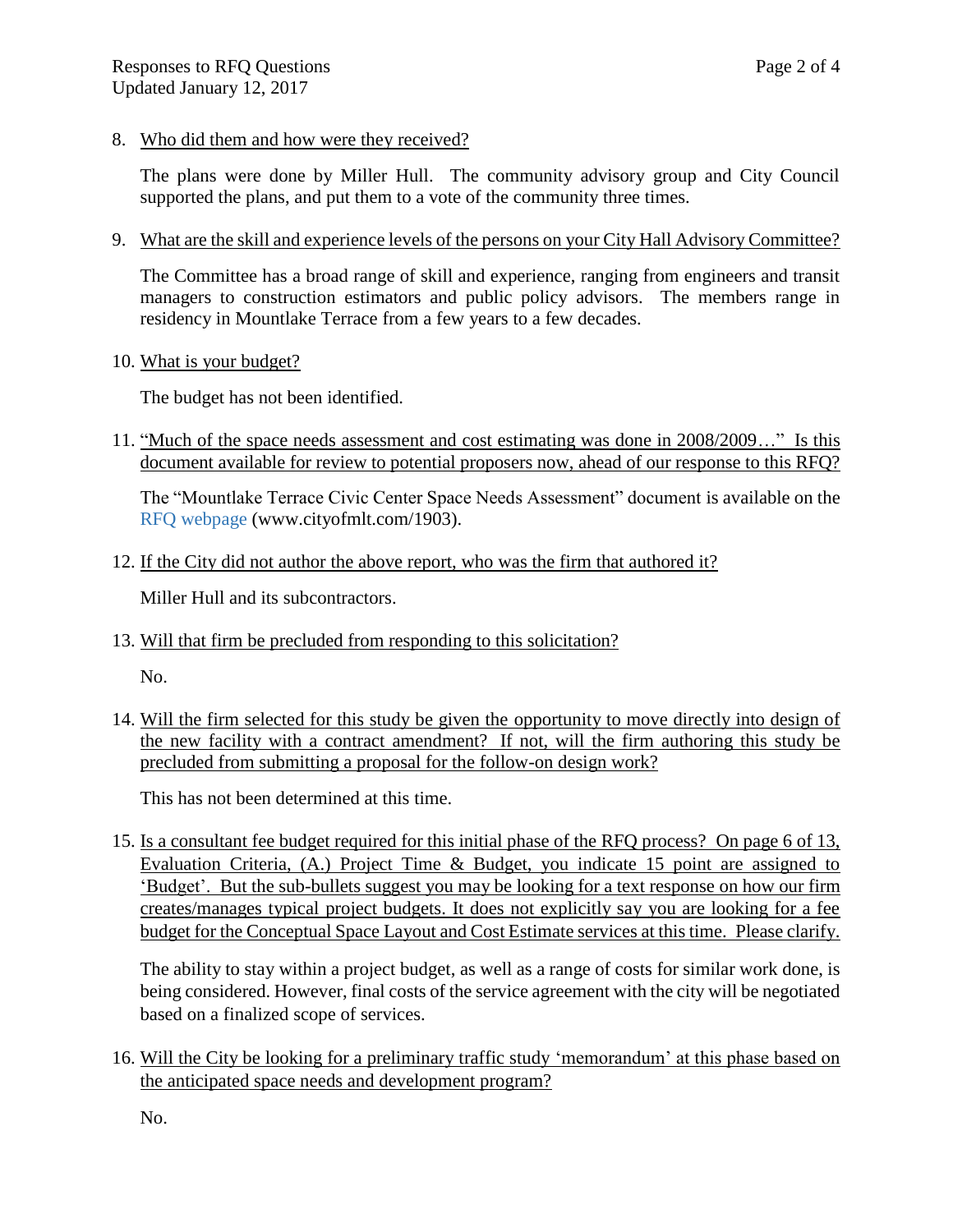8. Who did them and how were they received?

The plans were done by Miller Hull. The community advisory group and City Council supported the plans, and put them to a vote of the community three times.

9. What are the skill and experience levels of the persons on your City Hall Advisory Committee?

The Committee has a broad range of skill and experience, ranging from engineers and transit managers to construction estimators and public policy advisors. The members range in residency in Mountlake Terrace from a few years to a few decades.

10. What is your budget?

The budget has not been identified.

11. "Much of the space needs assessment and cost estimating was done in 2008/2009…" Is this document available for review to potential proposers now, ahead of our response to this RFQ?

The "Mountlake Terrace Civic Center Space Needs Assessment" document is available on the [RFQ webpage](http://www.cityofmlt.com/1903) [\(www.cityofmlt.com/1903\)](http://www.cityofmlt.com/1903/RFQ-For-ArchitecturalPlanning-Services).

12. If the City did not author the above report, who was the firm that authored it?

Miller Hull and its subcontractors.

13. Will that firm be precluded from responding to this solicitation?

No.

14. Will the firm selected for this study be given the opportunity to move directly into design of the new facility with a contract amendment? If not, will the firm authoring this study be precluded from submitting a proposal for the follow-on design work?

This has not been determined at this time.

15. Is a consultant fee budget required for this initial phase of the RFQ process? On page 6 of 13, Evaluation Criteria, (A.) Project Time & Budget, you indicate 15 point are assigned to 'Budget'. But the sub-bullets suggest you may be looking for a text response on how our firm creates/manages typical project budgets. It does not explicitly say you are looking for a fee budget for the Conceptual Space Layout and Cost Estimate services at this time. Please clarify.

The ability to stay within a project budget, as well as a range of costs for similar work done, is being considered. However, final costs of the service agreement with the city will be negotiated based on a finalized scope of services.

16. Will the City be looking for a preliminary traffic study 'memorandum' at this phase based on the anticipated space needs and development program?

No.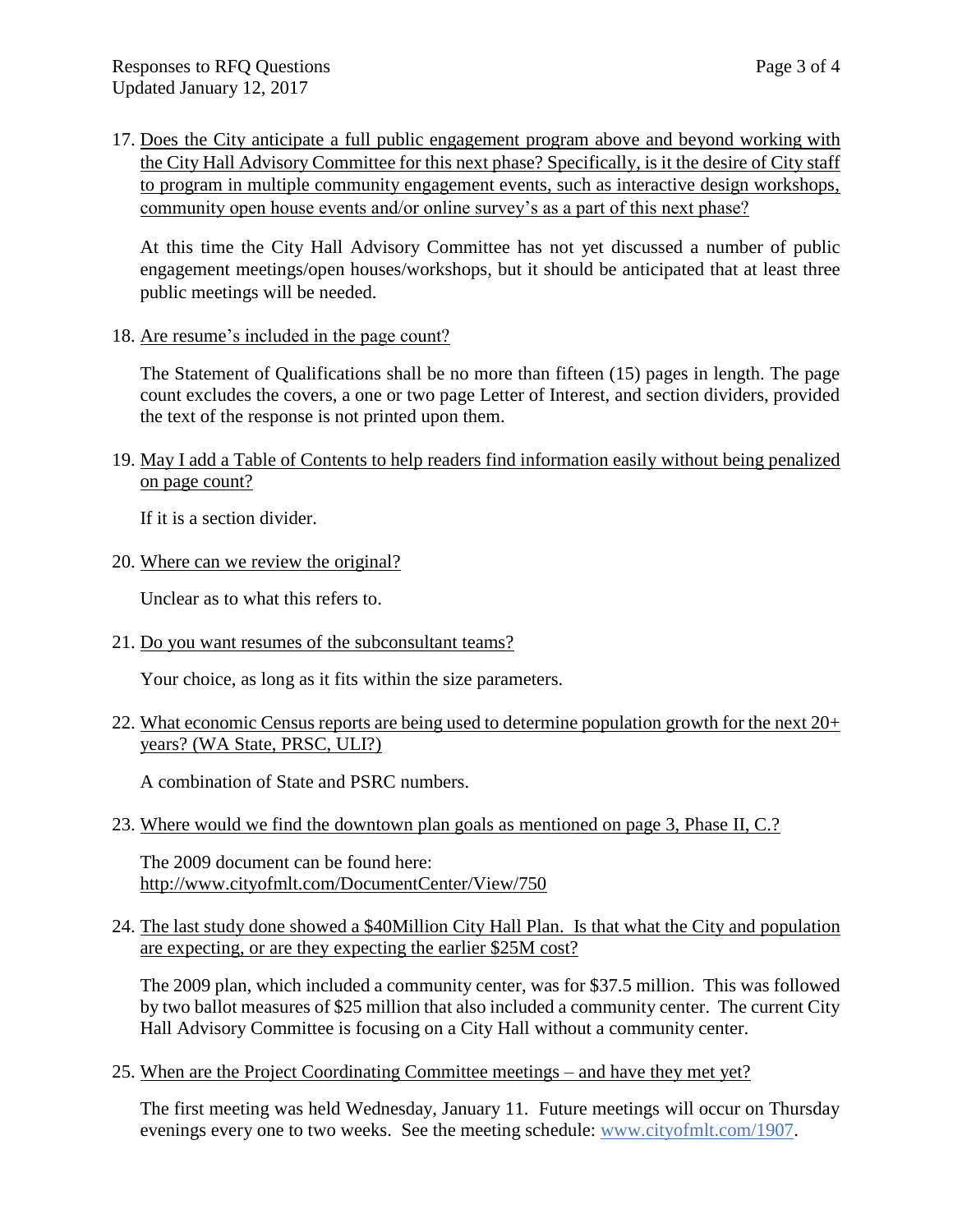17. Does the City anticipate a full public engagement program above and beyond working with the City Hall Advisory Committee for this next phase? Specifically, is it the desire of City staff to program in multiple community engagement events, such as interactive design workshops, community open house events and/or online survey's as a part of this next phase?

At this time the City Hall Advisory Committee has not yet discussed a number of public engagement meetings/open houses/workshops, but it should be anticipated that at least three public meetings will be needed.

18. Are resume's included in the page count?

The Statement of Qualifications shall be no more than fifteen (15) pages in length. The page count excludes the covers, a one or two page Letter of Interest, and section dividers, provided the text of the response is not printed upon them.

19. May I add a Table of Contents to help readers find information easily without being penalized on page count?

If it is a section divider.

20. Where can we review the original?

Unclear as to what this refers to.

21. Do you want resumes of the subconsultant teams?

Your choice, as long as it fits within the size parameters.

22. What economic Census reports are being used to determine population growth for the next 20+ years? (WA State, PRSC, ULI?)

A combination of State and PSRC numbers.

23. Where would we find the downtown plan goals as mentioned on page 3, Phase II, C.?

The 2009 document can be found here: <http://www.cityofmlt.com/DocumentCenter/View/750>

24. The last study done showed a \$40Million City Hall Plan. Is that what the City and population are expecting, or are they expecting the earlier \$25M cost?

The 2009 plan, which included a community center, was for \$37.5 million. This was followed by two ballot measures of \$25 million that also included a community center. The current City Hall Advisory Committee is focusing on a City Hall without a community center.

25. When are the Project Coordinating Committee meetings – and have they met yet?

The first meeting was held Wednesday, January 11. Future meetings will occur on Thursday evenings every one to two weeks. See the meeting schedule: [www.cityofmlt.com/1907.](http://www.cityofmlt.com/1907)